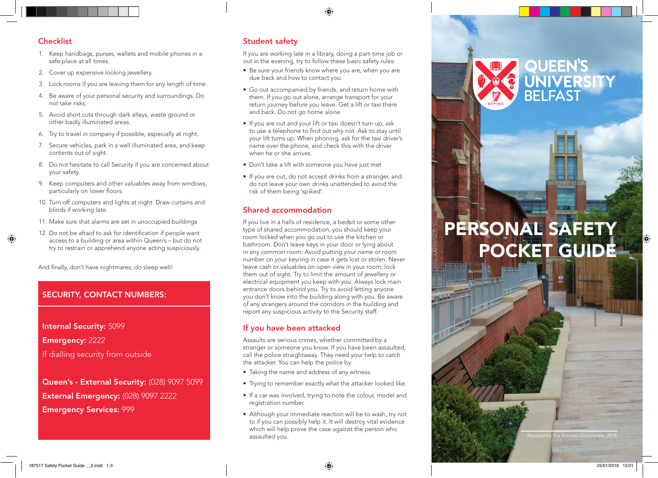## **Checklist**

- 1. Keep handbags, purses, wallets and mobile phones in a safe place at all times.
- 2. Cover up expensive looking jewellery.
- 3. Lock rooms if you are leaving them for any length of time.
- 4. Be aware of your personal security and surroundings. Do not take risks.
- 5. Avoid short cuts through dark alleys, waste ground or other badly illuminated areas.
- 6. Try to travel in company if possible, especially at night.
- 7. Secure vehicles, park in a well illuminated area, and keep contents out of sight.
- 8. Do not hesitate to call Security if you are concerned about your safety.
- 9. Keep computers and other valuables away from windows, particularly on lower floors.
- 10. Turn off computers and lights at night. Draw curtains and blinds if working late.
- 11. Make sure that alarms are set in unoccupied buildings
- 12. Do not be afraid to ask for identification if people want access to a building or area within Queen's – but do not try to restrain or apprehend anyone acting suspiciously.

And finally, don't have nightmares, do sleep well!

# SECURITY, CONTACT NUMBERS:

Internal Security: 5099 Emergency: 2222 If dialling security from outside

Queen's - External Security: (028) 9097 5099 External Emergency: (028) 9097 2222 Emergency Services: 999

# Student safety

If you are working late in a library, doing a part-time job or out in the evening, try to follow these basic safety rules:

- Be sure your friends know where you are, when you are due back and how to contact you.
- Go out accompanied by friends, and return home with them. If you go out alone, arrange transport for your return journey before you leave. Get a lift or taxi there and back. Do not go home alone.
- If you are out and your lift or taxi doesn't turn up, ask to use a telephone to find out why not. Ask to stay until your lift turns up. When phoning, ask for the taxi driver's name over the phone, and check this with the driver when he or she arrives.
- Don't take a lift with someone you have just met
- If you are out, do not accept drinks from a stranger, and do not leave your own drinks unattended to avoid the risk of them being 'spiked'.

## Shared accommodation

If you live in a halls of residence, a bedsit or some other type of shared accommodation, you should keep your room locked when you go out to use the kitchen or bathroom. Don't leave keys in your door or lying about in any common room. Avoid putting your name or room number on your keyring in case it gets lost or stolen. Never leave cash or valuables on open view in your room; lock them out of sight. Try to limit the amount of jewellery or electrical equipment you keep with you. Always lock main entrance doors behind you. Try to avoid letting anyone you don't know into the building along with you. Be aware of any strangers around the corridors in the building and report any suspicious activity to the Security staff.

# If you have been attacked

Assaults are serious crimes, whether committed by a stranger or someone you know. If you have been assaulted, call the police straightaway. They need your help to catch the attacker. You can help the police by:

- Taking the name and address of any witness.
- Trying to remember exactly what the attacker looked like.
- If a car was involved, trying to note the colour, model and registration number.
- Although your immediate reaction will be to wash, try not to if you can possibly help it. It will destroy vital evidence which will help prove the case against the person who assaulted you.

# PERSONAL SAFETY POCKET GUIDE

QUEEN'S<br>UNIVERSITY<br>BELFAST

ne Estates Directorate 2